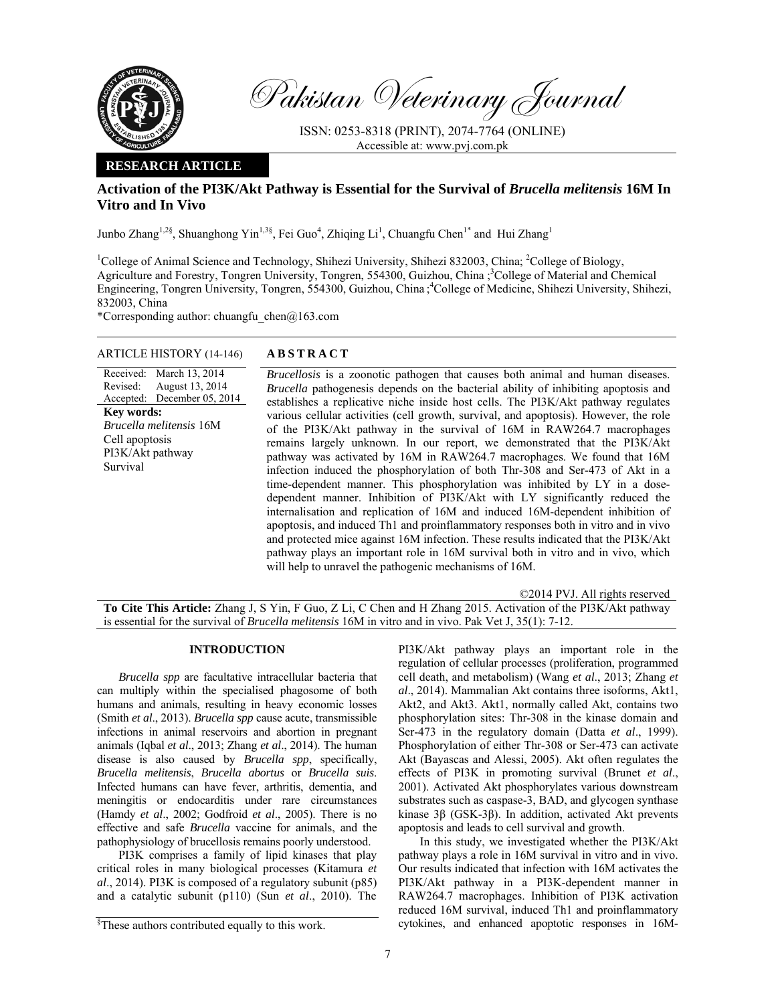

Pakistan Veterinary Journal

ISSN: 0253-8318 (PRINT), 2074-7764 (ONLINE) Accessible at: www.pvj.com.pk

# **RESEARCH ARTICLE**

# **Activation of the PI3K/Akt Pathway is Essential for the Survival of** *Brucella melitensis* **16M In Vitro and In Vivo**

Junbo Zhang<sup>1,2§</sup>, Shuanghong Yin<sup>1,3§</sup>, Fei Guo<sup>4</sup>, Zhiqing Li<sup>1</sup>, Chuangfu Chen<sup>1\*</sup> and Hui Zhang<sup>1</sup>

<sup>1</sup>College of Animal Science and Technology, Shihezi University, Shihezi 832003, China; <sup>2</sup>College of Biology, Agriculture and Forestry, Tongren University, Tongren, 554300, Guizhou, China ;<sup>3</sup>College of Material and Chemical Engineering, Tongren University, Tongren, 554300, Guizhou, China ; 4 College of Medicine, Shihezi University, Shihezi, 832003, China

\*Corresponding author: chuangfu chen $@163$ .com

# ARTICLE HISTORY (14-146) **ABSTRACT**

Received: Revised: Accepted: March 13, 2014 August 13, 2014 December 05, 2014 **Key words:**  *Brucella melitensis* 16M Cell apoptosis PI3K/Akt pathway Survival

*Brucellosis* is a zoonotic pathogen that causes both animal and human diseases. *Brucella* pathogenesis depends on the bacterial ability of inhibiting apoptosis and establishes a replicative niche inside host cells. The PI3K/Akt pathway regulates various cellular activities (cell growth, survival, and apoptosis). However, the role of the PI3K/Akt pathway in the survival of 16M in RAW264.7 macrophages remains largely unknown. In our report, we demonstrated that the PI3K/Akt pathway was activated by 16M in RAW264.7 macrophages. We found that 16M infection induced the phosphorylation of both Thr-308 and Ser-473 of Akt in a time-dependent manner. This phosphorylation was inhibited by LY in a dosedependent manner. Inhibition of PI3K/Akt with LY significantly reduced the internalisation and replication of 16M and induced 16M-dependent inhibition of apoptosis, and induced Th1 and proinflammatory responses both in vitro and in vivo and protected mice against 16M infection. These results indicated that the PI3K/Akt pathway plays an important role in 16M survival both in vitro and in vivo, which will help to unravel the pathogenic mechanisms of 16M.

©2014 PVJ. All rights reserved

**To Cite This Article:** Zhang J, S Yin, F Guo, Z Li, C Chen and H Zhang 2015. Activation of the PI3K/Akt pathway is essential for the survival of *Brucella melitensis* 16M in vitro and in vivo. Pak Vet J, 35(1): 7-12.

# **INTRODUCTION**

*Brucella spp* are facultative intracellular bacteria that can multiply within the specialised phagosome of both humans and animals, resulting in heavy economic losses (Smith *et al*., 2013). *Brucella spp* cause acute, transmissible infections in animal reservoirs and abortion in pregnant animals (Iqbal *et al*., 2013; Zhang *et al*., 2014). The human disease is also caused by *Brucella spp*, specifically, *Brucella melitensis*, *Brucella abortus* or *Brucella suis*. Infected humans can have fever, arthritis, dementia, and meningitis or endocarditis under rare circumstances (Hamdy *et al*., 2002; Godfroid *et al*., 2005). There is no effective and safe *Brucella* vaccine for animals, and the pathophysiology of brucellosis remains poorly understood.

PI3K comprises a family of lipid kinases that play critical roles in many biological processes (Kitamura *et al*., 2014). PI3K is composed of a regulatory subunit (p85) and a catalytic subunit (p110) (Sun *et al*., 2010). The

PI3K/Akt pathway plays an important role in the regulation of cellular processes (proliferation, programmed cell death, and metabolism) (Wang *et al*., 2013; Zhang *et al*., 2014). Mammalian Akt contains three isoforms, Akt1, Akt2, and Akt3. Akt1, normally called Akt, contains two phosphorylation sites: Thr-308 in the kinase domain and Ser-473 in the regulatory domain (Datta *et al*., 1999). Phosphorylation of either Thr-308 or Ser-473 can activate Akt (Bayascas and Alessi, 2005). Akt often regulates the effects of PI3K in promoting survival (Brunet *et al*., 2001). Activated Akt phosphorylates various downstream substrates such as caspase-3, BAD, and glycogen synthase kinase 3β (GSK-3β). In addition, activated Akt prevents apoptosis and leads to cell survival and growth.

In this study, we investigated whether the PI3K/Akt pathway plays a role in 16M survival in vitro and in vivo. Our results indicated that infection with 16M activates the PI3K/Akt pathway in a PI3K-dependent manner in RAW264.7 macrophages. Inhibition of PI3K activation reduced 16M survival, induced Th1 and proinflammatory cytokines, and enhanced apoptotic responses in 16M-

<sup>§</sup> These authors contributed equally to this work.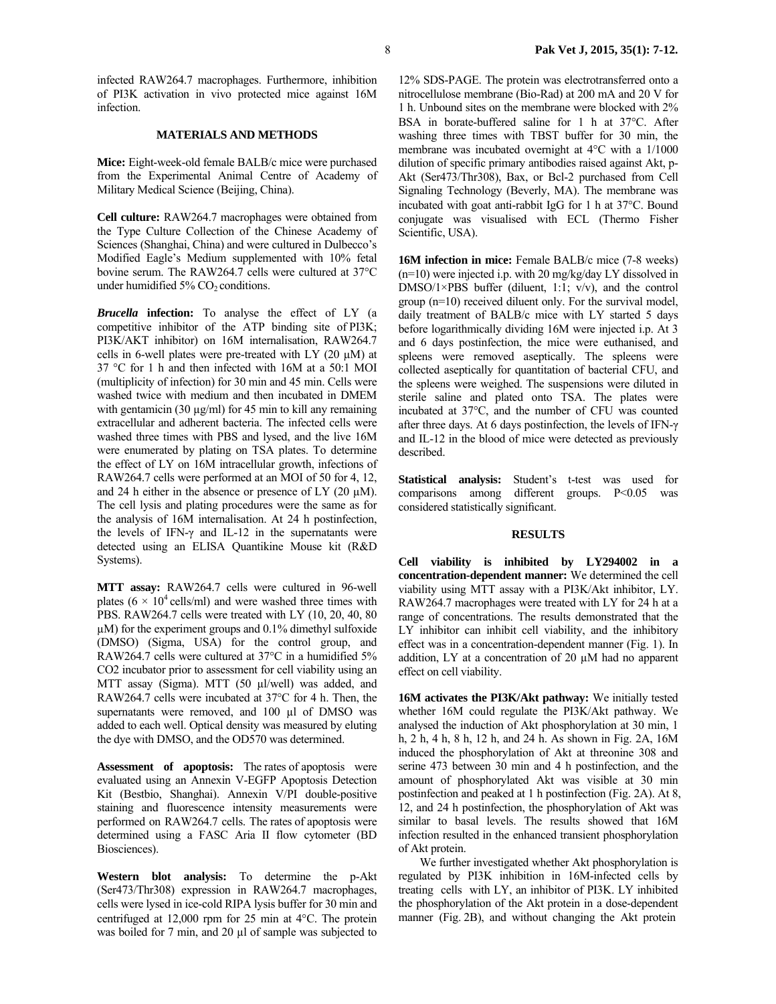infected RAW264.7 macrophages. Furthermore, inhibition of PI3K activation in vivo protected mice against 16M infection.

## **MATERIALS AND METHODS**

**Mice:** Eight-week-old female BALB/c mice were purchased from the Experimental Animal Centre of Academy of Military Medical Science (Beijing, China).

**Cell culture:** RAW264.7 macrophages were obtained from the Type Culture Collection of the Chinese Academy of Sciences (Shanghai, China) and were cultured in Dulbecco's Modified Eagle's Medium supplemented with 10% fetal bovine serum. The RAW264.7 cells were cultured at 37°C under humidified  $5\%$  CO<sub>2</sub> conditions.

*Brucella* **infection:** To analyse the effect of LY (a competitive inhibitor of the ATP binding site of PI3K; PI3K/AKT inhibitor) on 16M internalisation, RAW264.7 cells in 6-well plates were pre-treated with LY  $(20 \mu M)$  at 37 °C for 1 h and then infected with 16M at a 50:1 MOI (multiplicity of infection) for 30 min and 45 min. Cells were washed twice with medium and then incubated in DMEM with gentamicin (30  $\mu$ g/ml) for 45 min to kill any remaining extracellular and adherent bacteria. The infected cells were washed three times with PBS and lysed, and the live 16M were enumerated by plating on TSA plates. To determine the effect of LY on 16M intracellular growth, infections of RAW264.7 cells were performed at an MOI of 50 for 4, 12, and 24 h either in the absence or presence of LY  $(20 \mu M)$ . The cell lysis and plating procedures were the same as for the analysis of 16M internalisation. At 24 h postinfection, the levels of IFN-γ and IL-12 in the supernatants were detected using an ELISA Quantikine Mouse kit (R&D Systems).

**MTT assay:** RAW264.7 cells were cultured in 96-well plates ( $6 \times 10^4$  cells/ml) and were washed three times with PBS. RAW264.7 cells were treated with LY (10, 20, 40, 80 µM) for the experiment groups and 0.1% dimethyl sulfoxide (DMSO) (Sigma, USA) for the control group, and RAW264.7 cells were cultured at 37°C in a humidified 5% CO2 incubator prior to assessment for cell viability using an MTT assay (Sigma). MTT (50 µl/well) was added, and RAW264.7 cells were incubated at 37°C for 4 h. Then, the supernatants were removed, and 100 µl of DMSO was added to each well. Optical density was measured by eluting the dye with DMSO, and the OD570 was determined.

**Assessment of apoptosis:** The rates of apoptosis were evaluated using an Annexin V-EGFP Apoptosis Detection Kit (Bestbio, Shanghai). Annexin V/PI double-positive staining and fluorescence intensity measurements were performed on RAW264.7 cells. The rates of apoptosis were determined using a FASC Aria II flow cytometer (BD Biosciences).

**Western blot analysis:** To determine the p-Akt (Ser473/Thr308) expression in RAW264.7 macrophages, cells were lysed in ice-cold RIPA lysis buffer for 30 min and centrifuged at 12,000 rpm for 25 min at 4°C. The protein was boiled for 7 min, and 20  $\mu$ l of sample was subjected to

12% SDS-PAGE. The protein was electrotransferred onto a nitrocellulose membrane (Bio-Rad) at 200 mA and 20 V for 1 h. Unbound sites on the membrane were blocked with 2% BSA in borate-buffered saline for 1 h at 37°C. After washing three times with TBST buffer for 30 min, the membrane was incubated overnight at 4°C with a 1/1000 dilution of specific primary antibodies raised against Akt, p-Akt (Ser473/Thr308), Bax, or Bcl-2 purchased from Cell Signaling Technology (Beverly, MA). The membrane was incubated with goat anti-rabbit IgG for 1 h at 37°C. Bound conjugate was visualised with ECL (Thermo Fisher Scientific, USA).

**16M infection in mice:** Female BALB/c mice (7-8 weeks) (n=10) were injected i.p. with 20 mg/kg/day LY dissolved in DMSO/1×PBS buffer (diluent, 1:1;  $v/v$ ), and the control group (n=10) received diluent only. For the survival model, daily treatment of BALB/c mice with LY started 5 days before logarithmically dividing 16M were injected i.p. At 3 and 6 days postinfection, the mice were euthanised, and spleens were removed aseptically. The spleens were collected aseptically for quantitation of bacterial CFU, and the spleens were weighed. The suspensions were diluted in sterile saline and plated onto TSA. The plates were incubated at 37°C, and the number of CFU was counted after three days. At 6 days postinfection, the levels of IFN-γ and IL-12 in the blood of mice were detected as previously described.

**Statistical analysis:** Student's t-test was used for comparisons among different groups. P<0.05 was considered statistically significant.

#### **RESULTS**

**Cell viability is inhibited by LY294002 in a concentration-dependent manner:** We determined the cell viability using MTT assay with a PI3K/Akt inhibitor, LY. RAW264.7 macrophages were treated with LY for 24 h at a range of concentrations. The results demonstrated that the LY inhibitor can inhibit cell viability, and the inhibitory effect was in a concentration-dependent manner (Fig. 1). In addition, LY at a concentration of 20 µM had no apparent effect on cell viability.

**16M activates the PI3K/Akt pathway:** We initially tested whether 16M could regulate the PI3K/Akt pathway. We analysed the induction of Akt phosphorylation at 30 min, 1 h, 2 h, 4 h, 8 h, 12 h, and 24 h. As shown in Fig. 2A, 16M induced the phosphorylation of Akt at threonine 308 and serine 473 between 30 min and 4 h postinfection, and the amount of phosphorylated Akt was visible at 30 min postinfection and peaked at 1 h postinfection (Fig. 2A). At 8, 12, and 24 h postinfection, the phosphorylation of Akt was similar to basal levels. The results showed that 16M infection resulted in the enhanced transient phosphorylation of Akt protein.

We further investigated whether Akt phosphorylation is regulated by PI3K inhibition in 16M-infected cells by treating cells with LY, an inhibitor of PI3K. LY inhibited the phosphorylation of the Akt protein in a dose-dependent manner (Fig. 2B), and without changing the Akt protein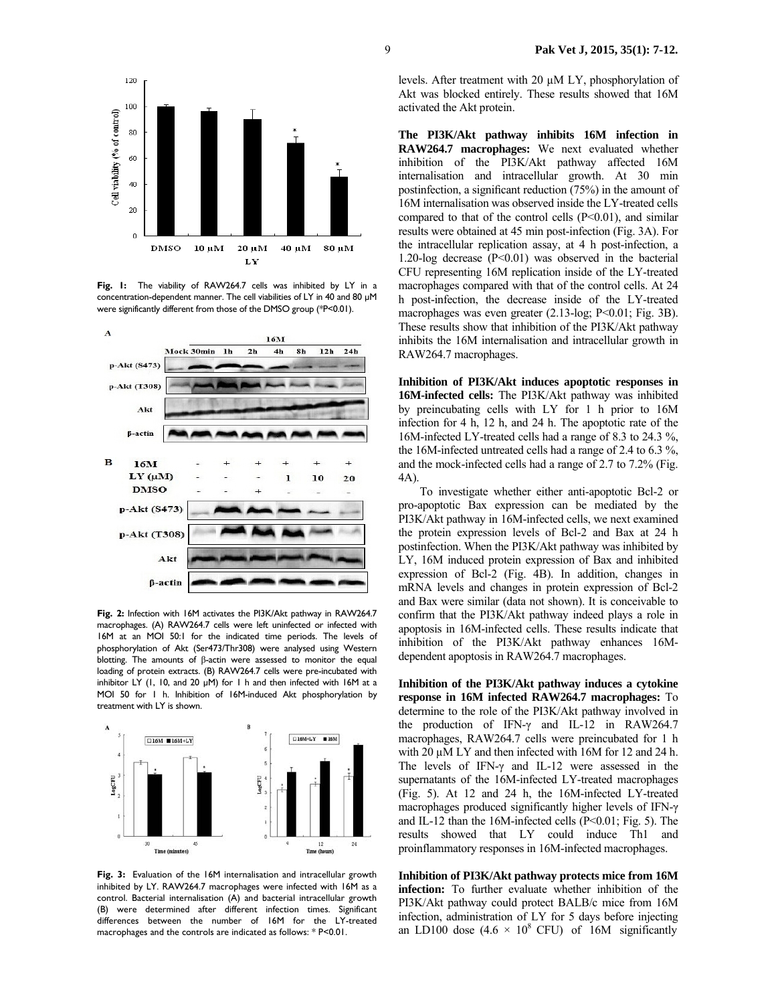

**Fig. 1:** The viability of RAW264.7 cells was inhibited by LY in a concentration-dependent manner. The cell viabilities of LY in 40 and 80 µM were significantly different from those of the DMSO group (\*P<0.01).



**Fig. 2:** Infection with 16M activates the PI3K/Akt pathway in RAW264.7 macrophages. (A) RAW264.7 cells were left uninfected or infected with 16M at an MOI 50:1 for the indicated time periods. The levels of phosphorylation of Akt (Ser473/Thr308) were analysed using Western blotting. The amounts of β-actin were assessed to monitor the equal loading of protein extracts. (B) RAW264.7 cells were pre-incubated with inhibitor LY (1, 10, and 20  $\mu$ M) for 1 h and then infected with 16M at a MOI 50 for 1 h. Inhibition of 16M-induced Akt phosphorylation by treatment with LY is shown.



**Fig. 3:** Evaluation of the 16M internalisation and intracellular growth inhibited by LY. RAW264.7 macrophages were infected with 16M as a control. Bacterial internalisation (A) and bacterial intracellular growth (B) were determined after different infection times. Significant differences between the number of 16M for the LY-treated macrophages and the controls are indicated as follows: \* P<0.01.

levels. After treatment with 20 µM LY, phosphorylation of Akt was blocked entirely. These results showed that 16M activated the Akt protein.

**The PI3K/Akt pathway inhibits 16M infection in RAW264.7 macrophages:** We next evaluated whether inhibition of the PI3K/Akt pathway affected 16M internalisation and intracellular growth. At 30 min postinfection, a significant reduction (75%) in the amount of 16M internalisation was observed inside the LY-treated cells compared to that of the control cells (P<0.01), and similar results were obtained at 45 min post-infection (Fig. 3A). For the intracellular replication assay, at 4 h post-infection, a 1.20-log decrease  $(P<0.01)$  was observed in the bacterial CFU representing 16M replication inside of the LY-treated macrophages compared with that of the control cells. At 24 h post-infection, the decrease inside of the LY-treated macrophages was even greater (2.13-log; P<0.01; Fig. 3B). These results show that inhibition of the PI3K/Akt pathway inhibits the 16M internalisation and intracellular growth in RAW264.7 macrophages.

**Inhibition of PI3K/Akt induces apoptotic responses in 16M-infected cells:** The PI3K/Akt pathway was inhibited by preincubating cells with LY for 1 h prior to 16M infection for 4 h, 12 h, and 24 h. The apoptotic rate of the 16M-infected LY-treated cells had a range of 8.3 to 24.3 %, the 16M-infected untreated cells had a range of 2.4 to 6.3 %, and the mock-infected cells had a range of 2.7 to 7.2% (Fig. 4A).

To investigate whether either anti-apoptotic Bcl-2 or pro-apoptotic Bax expression can be mediated by the PI3K/Akt pathway in 16M-infected cells, we next examined the protein expression levels of Bcl-2 and Bax at 24 h postinfection. When the PI3K/Akt pathway was inhibited by LY, 16M induced protein expression of Bax and inhibited expression of Bcl-2 (Fig. 4B). In addition, changes in mRNA levels and changes in protein expression of Bcl-2 and Bax were similar (data not shown). It is conceivable to confirm that the PI3K/Akt pathway indeed plays a role in apoptosis in 16M-infected cells. These results indicate that inhibition of the PI3K/Akt pathway enhances 16Mdependent apoptosis in RAW264.7 macrophages.

**Inhibition of the PI3K/Akt pathway induces a cytokine response in 16M infected RAW264.7 macrophages:** To determine to the role of the PI3K/Akt pathway involved in the production of IFN-γ and IL-12 in RAW264.7 macrophages, RAW264.7 cells were preincubated for 1 h with 20  $\mu$ M LY and then infected with 16M for 12 and 24 h. The levels of IFN-γ and IL-12 were assessed in the supernatants of the 16M-infected LY-treated macrophages (Fig. 5). At 12 and 24 h, the 16M-infected LY-treated macrophages produced significantly higher levels of IFN-γ and IL-12 than the 16M-infected cells (P<0.01; Fig. 5). The results showed that LY could induce Th1 and proinflammatory responses in 16M-infected macrophages.

**Inhibition of PI3K/Akt pathway protects mice from 16M infection:** To further evaluate whether inhibition of the PI3K/Akt pathway could protect BALB/c mice from 16M infection, administration of LY for 5 days before injecting an LD100 dose  $(4.6 \times 10^8 \text{ CFU})$  of 16M significantly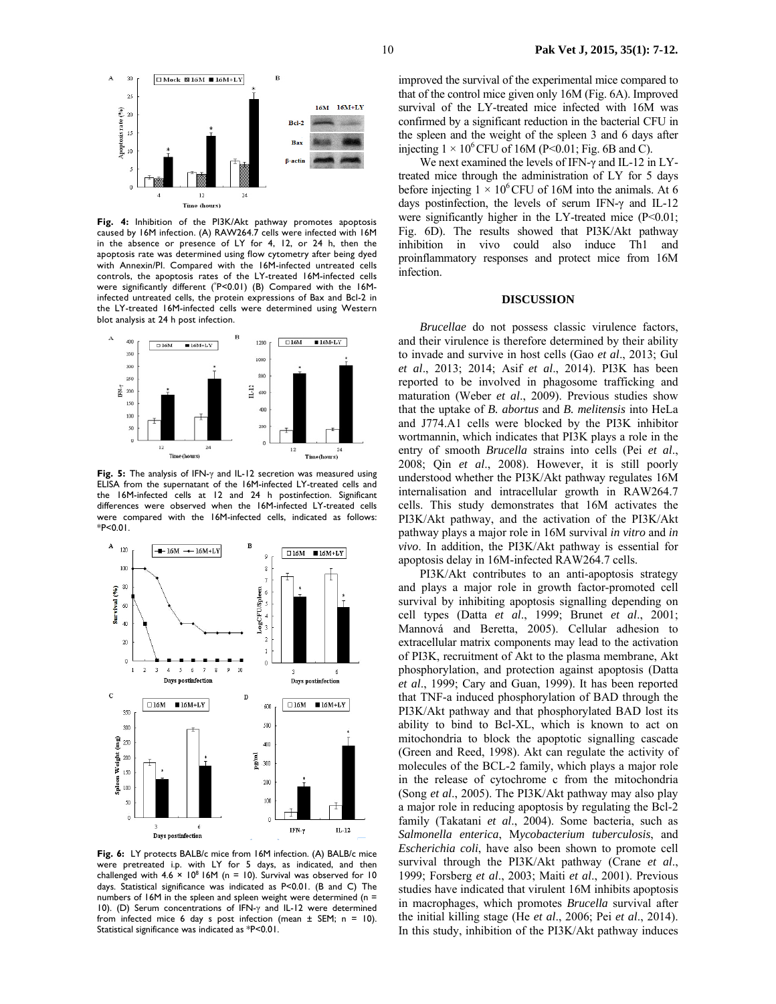

**Fig. 4:** Inhibition of the PI3K/Akt pathway promotes apoptosis caused by 16M infection. (A) RAW264.7 cells were infected with 16M in the absence or presence of LY for 4, 12, or 24 h, then the apoptosis rate was determined using flow cytometry after being dyed with Annexin/PI. Compared with the 16M-infected untreated cells controls, the apoptosis rates of the LY-treated 16M-infected cells were significantly different (\* P<0.01) (B) Compared with the 16Minfected untreated cells, the protein expressions of Bax and Bcl-2 in the LY-treated 16M-infected cells were determined using Western blot analysis at 24 h post infection.



**Fig. 5:** The analysis of IFN-γ and IL-12 secretion was measured using ELISA from the supernatant of the 16M-infected LY-treated cells and the 16M-infected cells at 12 and 24 h postinfection. Significant differences were observed when the 16M-infected LY-treated cells were compared with the 16M-infected cells, indicated as follows:  $*P < 0.01$ .



**Fig. 6:** LY protects BALB/c mice from 16M infection. (A) BALB/c mice were pretreated i.p. with LY for 5 days, as indicated, and then<br>challenged with 4.6 × 10<sup>8</sup> I6M (n = 10). Survival was observed for 10 days. Statistical significance was indicated as P<0.01. (B and C) The numbers of 16M in the spleen and spleen weight were determined (n = 10). (D) Serum concentrations of IFN-γ and IL-12 were determined from infected mice 6 day s post infection (mean  $\pm$  SEM; n = 10). Statistical significance was indicated as \*P<0.01.

improved the survival of the experimental mice compared to that of the control mice given only 16M (Fig. 6A). Improved survival of the LY-treated mice infected with 16M was confirmed by a significant reduction in the bacterial CFU in the spleen and the weight of the spleen 3 and 6 days after injecting  $1 \times 10^6$  CFU of 16M (P<0.01; Fig. 6B and C).

We next examined the levels of IFN-γ and IL-12 in LYtreated mice through the administration of LY for 5 days before injecting  $1 \times 10^6$  CFU of 16M into the animals. At 6 days postinfection, the levels of serum IFN-γ and IL-12 were significantly higher in the LY-treated mice (P<0.01; Fig. 6D). The results showed that PI3K/Akt pathway inhibition in vivo could also induce Th1 and proinflammatory responses and protect mice from 16M infection.

## **DISCUSSION**

*Brucellae* do not possess classic virulence factors, and their virulence is therefore determined by their ability to invade and survive in host cells (Gao *et al*., 2013; Gul *et al*., 2013; 2014; Asif *et al*., 2014). PI3K has been reported to be involved in phagosome trafficking and maturation (Weber *et al*., 2009). Previous studies show that the uptake of *B. abortus* and *B. melitensis* into HeLa and J774.A1 cells were blocked by the PI3K inhibitor wortmannin, which indicates that PI3K plays a role in the entry of smooth *Brucella* strains into cells (Pei *et al*., 2008; Qin *et al*., 2008). However, it is still poorly understood whether the PI3K/Akt pathway regulates 16M internalisation and intracellular growth in RAW264.7 cells. This study demonstrates that 16M activates the PI3K/Akt pathway, and the activation of the PI3K/Akt pathway plays a major role in 16M survival *in vitro* and *in vivo*. In addition, the PI3K/Akt pathway is essential for apoptosis delay in 16M-infected RAW264.7 cells.

PI3K/Akt contributes to an anti-apoptosis strategy and plays a major role in growth factor-promoted cell survival by inhibiting apoptosis signalling depending on cell types (Datta *et al*., 1999; Brunet *et al*., 2001; Mannová and Beretta, 2005). Cellular adhesion to extracellular matrix components may lead to the activation of PI3K, recruitment of Akt to the plasma membrane, Akt phosphorylation, and protection against apoptosis (Datta *et al*., 1999; Cary and Guan, 1999). It has been reported that TNF-a induced phosphorylation of BAD through the PI3K/Akt pathway and that phosphorylated BAD lost its ability to bind to Bcl-XL, which is known to act on mitochondria to block the apoptotic signalling cascade (Green and Reed, 1998). Akt can regulate the activity of molecules of the BCL-2 family, which plays a major role in the release of cytochrome c from the mitochondria (Song *et al*., 2005). The PI3K/Akt pathway may also play a major role in reducing apoptosis by regulating the Bcl-2 family (Takatani *et al*., 2004). Some bacteria, such as *Salmonella enterica*, M*ycobacterium tuberculosis*, and *Escherichia coli*, have also been shown to promote cell survival through the PI3K/Akt pathway (Crane *et al*., 1999; Forsberg *et al*., 2003; Maiti *et al*., 2001). Previous studies have indicated that virulent 16M inhibits apoptosis in macrophages, which promotes *Brucella* survival after the initial killing stage (He *et al*., 2006; Pei *et al*., 2014). In this study, inhibition of the PI3K/Akt pathway induces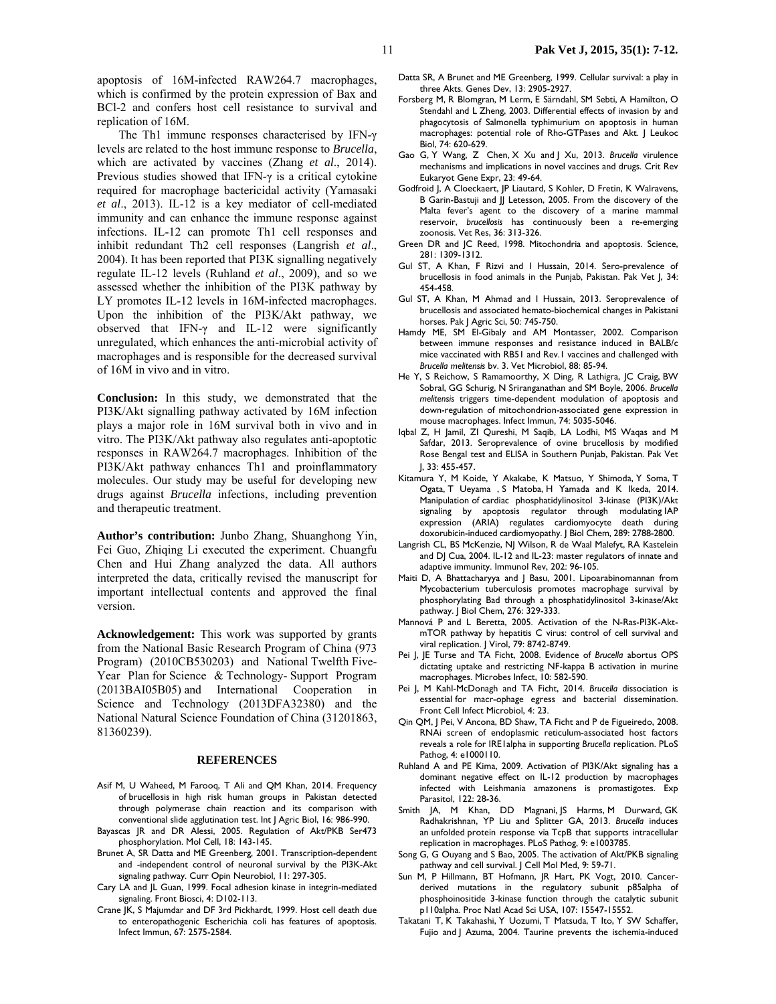The Th1 immune responses characterised by IFN-γ levels are related to the host immune response to *Brucella*, which are activated by vaccines (Zhang *et al*., 2014). Previous studies showed that IFN-γ is a critical cytokine required for macrophage bactericidal activity (Yamasaki *et al*., 2013). IL-12 is a key mediator of cell-mediated immunity and can enhance the immune response against infections. IL-12 can promote Th1 cell responses and inhibit redundant Th2 cell responses (Langrish *et al*., 2004). It has been reported that PI3K signalling negatively regulate IL-12 levels (Ruhland *et al*., 2009), and so we assessed whether the inhibition of the PI3K pathway by LY promotes IL-12 levels in 16M-infected macrophages. Upon the inhibition of the PI3K/Akt pathway, we observed that IFN-γ and IL-12 were significantly unregulated, which enhances the anti-microbial activity of macrophages and is responsible for the decreased survival of 16M in vivo and in vitro.

**Conclusion:** In this study, we demonstrated that the PI3K/Akt signalling pathway activated by 16M infection plays a major role in 16M survival both in vivo and in vitro. The PI3K/Akt pathway also regulates anti-apoptotic responses in RAW264.7 macrophages. Inhibition of the PI3K/Akt pathway enhances Th1 and proinflammatory molecules. Our study may be useful for developing new drugs against *Brucella* infections, including prevention and therapeutic treatment.

**Author's contribution:** Junbo Zhang, Shuanghong Yin, Fei Guo, Zhiqing Li executed the experiment. Chuangfu Chen and Hui Zhang analyzed the data. All authors interpreted the data, critically revised the manuscript for important intellectual contents and approved the final version.

**Acknowledgement:** This work was supported by grants from the National Basic Research Program of China (973 Program) (2010CB530203) and National Twelfth Five-Year Plan for Science & Technology- Support Program (2013BAI05B05) and International Cooperation in Science and Technology (2013DFA32380) and the National Natural Science Foundation of China (31201863, 81360239).

### **REFERENCES**

- Asif M, U Waheed, M Farooq, T Ali and QM Khan, 2014. Frequency of brucellosis in high risk human groups in Pakistan detected through polymerase chain reaction and its comparison with conventional slide agglutination test. Int J Agric Biol, 16: 986-990.
- Bayascas JR and DR Alessi, 2005. Regulation of Akt/PKB Ser473 phosphorylation. Mol Cell, 18: 143-145.
- Brunet A, SR Datta and ME Greenberg, 2001. Transcription-dependent and -independent control of neuronal survival by the PI3K-Akt signaling pathway. Curr Opin Neurobiol, 11: 297-305.
- Cary LA and JL Guan, 1999. Focal adhesion kinase in integrin-mediated signaling. Front Biosci, 4: D102-113.
- Crane JK, S Majumdar and DF 3rd Pickhardt, 1999. Host cell death due to enteropathogenic Escherichia coli has features of apoptosis. Infect Immun, 67: 2575-2584.
- Datta SR, A Brunet and ME Greenberg, 1999. Cellular survival: a play in three Akts. Genes Dev, 13: 2905-2927.
- Forsberg M, R Blomgran, M Lerm, E Särndahl, SM Sebti, A Hamilton, O Stendahl and L Zheng, 2003. Differential effects of invasion by and phagocytosis of Salmonella typhimurium on apoptosis in human macrophages: potential role of Rho-GTPases and Akt. J Leukoc Biol, 74: 620-629.
- Gao G, Y Wang, Z Chen, X Xu and J Xu, 2013. *Brucella* virulence mechanisms and implications in novel vaccines and drugs. Crit Rev Eukaryot Gene Expr, 23: 49-64.
- Godfroid J, A Cloeckaert, JP Liautard, S Kohler, D Fretin, K Walravens, B Garin-Bastuji and JJ Letesson, 2005. From the discovery of the Malta fever's agent to the discovery of a marine mammal reservoir, *brucellosis* has continuously been a re-emerging zoonosis. Vet Res, 36: 313-326.
- Green DR and JC Reed, 1998. Mitochondria and apoptosis. Science, 281: 1309-1312.
- Gul ST, A Khan, F Rizvi and I Hussain, 2014. Sero-prevalence of brucellosis in food animals in the Punjab, Pakistan. Pak Vet J, 34: 454-458.
- Gul ST, A Khan, M Ahmad and I Hussain, 2013. Seroprevalence of brucellosis and associated hemato-biochemical changes in Pakistani horses. Pak J Agric Sci, 50: 745-750.
- Hamdy ME, SM El-Gibaly and AM Montasser, 2002. Comparison between immune responses and resistance induced in BALB/c mice vaccinated with RB51 and Rev.1 vaccines and challenged with *Brucella melitensis* bv. 3. Vet Microbiol, 88: 85-94.
- He Y, S Reichow, S Ramamoorthy, X Ding, R Lathigra, JC Craig, BW Sobral, GG Schurig, N Sriranganathan and SM Boyle, 2006. *Brucella melitensis* triggers time-dependent modulation of apoptosis and down-regulation of mitochondrion-associated gene expression in mouse macrophages. Infect Immun, 74: 5035-5046.
- Iqbal Z, H Jamil, ZI Qureshi, M Saqib, LA Lodhi, MS Waqas and M Safdar, 2013. Seroprevalence of ovine brucellosis by modified Rose Bengal test and ELISA in Southern Punjab, Pakistan. Pak Vet J, 33: 455-457.
- Kitamura Y, M Koide, Y Akakabe, K Matsuo, Y Shimoda, Y Soma, T Ogata, T Ueyama , S Matoba, H Yamada and K Ikeda, 2014. Manipulation of cardiac phosphatidylinositol 3-kinase (PI3K)/Akt signaling by apoptosis regulator through modulating IAP expression (ARIA) regulates cardiomyocyte death during doxorubicin-induced cardiomyopathy. J Biol Chem, 289: 2788-2800.
- Langrish CL, BS McKenzie, NJ Wilson, R de Waal Malefyt, RA Kastelein and DJ Cua, 2004. IL-12 and IL-23: master regulators of innate and adaptive immunity. Immunol Rev, 202: 96-105.
- Maiti D, A Bhattacharyya and J Basu, 2001. Lipoarabinomannan from Mycobacterium tuberculosis promotes macrophage survival by phosphorylating Bad through a phosphatidylinositol 3-kinase/Akt pathway. J Biol Chem, 276: 329-333.
- Mannová P and L Beretta, 2005. Activation of the N-Ras-PI3K-AktmTOR pathway by hepatitis C virus: control of cell survival and viral replication. J Virol, 79: 8742-8749.
- Pei J, JE Turse and TA Ficht, 2008. Evidence of *Brucella* abortus OPS dictating uptake and restricting NF-kappa B activation in murine macrophages. Microbes Infect, 10: 582-590.
- Pei J, M Kahl-McDonagh and TA Ficht, 2014. *Brucella* dissociation is essential for macr-ophage egress and bacterial dissemination. Front Cell Infect Microbiol, 4: 23.
- Qin QM, J Pei, V Ancona, BD Shaw, TA Ficht and P de Figueiredo, 2008. RNAi screen of endoplasmic reticulum-associated host factors reveals a role for IRE1alpha in supporting *Brucella* replication. PLoS Pathog, 4: e1000110.
- Ruhland A and PE Kima, 2009. Activation of PI3K/Akt signaling has a dominant negative effect on IL-12 production by macrophages infected with Leishmania amazonens is promastigotes. Exp Parasitol, 122: 28-36.
- Smith JA, M Khan, DD Magnani, JS Harms, M Durward, GK Radhakrishnan, YP Liu and Splitter GA, 2013. *Brucella* induces an unfolded protein response via TcpB that supports intracellular replication in macrophages. PLoS Pathog, 9: e1003785.
- Song G, G Ouyang and S Bao, 2005. The activation of Akt/PKB signaling pathway and cell survival. J Cell Mol Med, 9: 59-71.
- Sun M, P Hillmann, BT Hofmann, JR Hart, PK Vogt, 2010. Cancerderived mutations in the regulatory subunit p85alpha of phosphoinositide 3-kinase function through the catalytic subunit p110alpha. Proc Natl Acad Sci USA, 107: 15547-15552.
- Takatani T, K Takahashi, Y Uozumi, T Matsuda, T Ito, Y SW Schaffer, Fujio and J Azuma, 2004. Taurine prevents the ischemia-induced